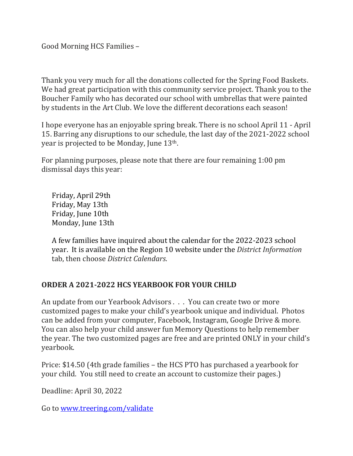Good Morning HCS Families –   

Thank you very much for all the donations collected for the Spring Food Baskets. We had great participation with this community service project. Thank you to the Boucher Family who has decorated our school with umbrellas that were painted by students in the Art Club. We love the different decorations each season!

I hope everyone has an enjoyable spring break. There is no school April 11 - April 15. Barring any disruptions to our schedule, the last day of the 2021-2022 school year is projected to be Monday, June 13th.

For planning purposes, please note that there are four remaining 1:00 pm dismissal days this year:

Friday, April 29th Friday, May 13th Friday, June 10th Monday, June 13th

A few families have inquired about the calendar for the 2022-2023 school year. It is available on the Region 10 website under the *District Information* tab, then choose *District Calendars*.

### **ORDER A 2021-2022 HCS YEARBOOK FOR YOUR CHILD**

An update from our Yearbook Advisors . . . You can create two or more customized pages to make your child's yearbook unique and individual. Photos can be added from your computer, Facebook, Instagram, Google Drive & more. You can also help your child answer fun Memory Questions to help remember the year. The two customized pages are free and are printed ONLY in your child's yearbook.

Price: \$14.50 (4th grade families – the HCS PTO has purchased a yearbook for your child. You still need to create an account to customize their pages.)

Deadline: April 30, 2022

Go to [www.treering.com/validate](http://track.spe.schoolmessenger.com/f/a/epvn4CM0Nkl5Qj9TG7twTA~~/AAAAAQA~/RgRkM-w2P0QgaHR0cDovL3d3dy50cmVlcmluZy5jb20vdmFsaWRhdGVXB3NjaG9vbG1CCmJLtrhSYiaxNaZSGWJhbGxlcmluaWFAcmVnaW9uMTBjdC5vcmdYBAAAAAE~)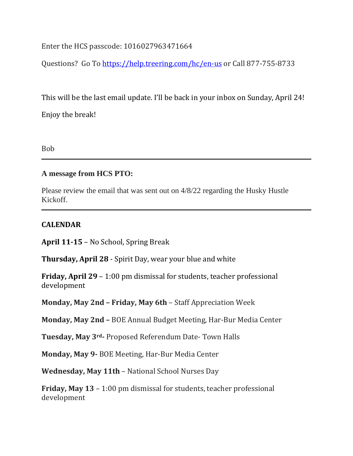Enter the HCS passcode: 1016027963471664

Questions? Go To [https://help.treering.com/hc/en-us](http://track.spe.schoolmessenger.com/f/a/m7gQuwDS7p3Ky0C98-zemA~~/AAAAAQA~/RgRkM-w2P0QiaHR0cHM6Ly9oZWxwLnRyZWVyaW5nLmNvbS9oYy9lbi11c1cHc2Nob29sbUIKYku2uFJiJrE1plIZYmFsbGVyaW5pYUByZWdpb24xMGN0Lm9yZ1gEAAAAAQ~~) or Call 877-755-8733

This will be the last email update. I'll be back in your inbox on Sunday, April 24! Enjoy the break!

Bob

### **A message from HCS PTO:**

Please review the email that was sent out on 4/8/22 regarding the Husky Hustle Kickoff.

### **CALENDAR**

**April 11-15** – No School, Spring Break

**Thursday, April 28** - Spirit Day, wear your blue and white

**Friday, April 29** – 1:00 pm dismissal for students, teacher professional development

**Monday, May 2nd – Friday, May 6th** – Staff Appreciation Week

**Monday, May 2nd –** BOE Annual Budget Meeting, Har-Bur Media Center

**Tuesday, May 3rd-** Proposed Referendum Date- Town Halls

**Monday, May 9-** BOE Meeting, Har-Bur Media Center

**Wednesday, May 11th** – National School Nurses Day

**Friday, May 13** – 1:00 pm dismissal for students, teacher professional development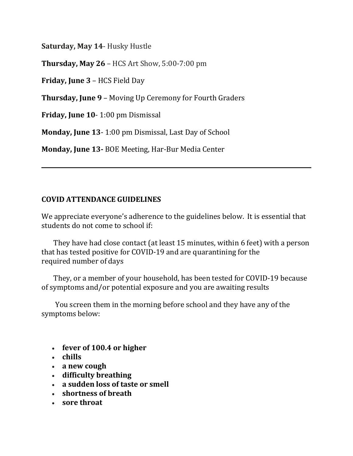**Saturday, May 14**- Husky Hustle

**Thursday, May 26** – HCS Art Show, 5:00-7:00 pm

**Friday, June 3** – HCS Field Day

**Thursday, June 9** – Moving Up Ceremony for Fourth Graders

**Friday, June 10**- 1:00 pm Dismissal

**Monday, June 13**- 1:00 pm Dismissal, Last Day of School

**Monday, June 13-** BOE Meeting, Har-Bur Media Center

### **COVID ATTENDANCE GUIDELINES**

We appreciate everyone's adherence to the guidelines below.  It is essential that students do not come to school if:     

 They have had close contact (at least 15 minutes, within 6 feet) with a person that has tested positive for COVID-19 and are quarantining for the required number of days     

 They, or a member of your household, has been tested for COVID-19 because of symptoms and/or potential exposure and you are awaiting results     

 You screen them in the morning before school and they have any of the symptoms below:      

- **fever of 100.4 or higher**
- **chills**
- **a new cough**
- **difficulty breathing**
- **a sudden loss of taste or smell**
- **shortness of breath**
- **sore throat**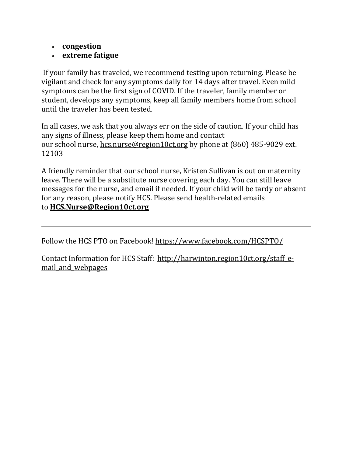- **congestion**
- **extreme fatigue**

 If your family has traveled, we recommend testing upon returning. Please be vigilant and check for any symptoms daily for 14 days after travel. Even mild symptoms can be the first sign of COVID. If the traveler, family member or student, develops any symptoms, keep all family members home from school until the traveler has been tested.     

In all cases, we ask that you always err on the side of caution. If your child has any signs of illness, please keep them home and contact our school nurse, [hcs.nurse@region10ct.org](mailto:hcs.nurse@region10ct.org) by phone at (860) 485-9029 ext. 12103 

A friendly reminder that our school nurse, Kristen Sullivan is out on maternity leave. There will be a substitute nurse covering each day. You can still leave messages for the nurse, and email if needed. If your child will be tardy or absent for any reason, please notify HCS. Please send health-related emails to **[HCS.Nurse@Region10ct.org](mailto:HCS.Nurse@Region10ct.org)**

Follow the HCS PTO on Facebook! [https://www.facebook.com/HCSPTO/](http://track.spe.schoolmessenger.com/f/a/-WyUGvwaCcF3O05kjgCDuQ~~/AAAAAQA~/RgRkM-w2P4QkCGh0dHA6Ly90cmFjay5zcGUuc2Nob29sbWVzc2VuZ2VyLmNvbS9mL2EvZHRDbkRtcldsY0RmTGtUSjFzUG1sQX5-L0FBQUFBUUF-L1JnUmtLckdfUDRRbkNXaDBkSEE2THk5MGNtRmpheTV6Y0dVdWMyTm9iMjlzYldWemMyVnVaMlZ5TG1OdmJTOW1MMkV2V2xrM1UwVTFXV3RTVlMxRVJqZ3djR3BsWlRsR2QzNS1MMEZCUVVGQlVVRi1MMUpuVW10SldHUkdVRFJTYmtKdGFEQmtTRUUyVEhrNU1HTnRSbXBoZVRWNlkwZFZkV015VG05aU1qbHpZbGRXZW1NeVZuVmFNbFo1VEcxT2RtSlRPVzFNTWtWMlRGVndkR1JFWkZWU2JWSlFWREIwVlZOSVozbFpNbkJoVEZNeFVsVllOUzFNTUVaQ1VWVkdRbFZWUmkxTU1VcHVWVzEwU0ZKSWNFVlZSRkpUVjBWS1NHRkVRbXRUUlVVeVZFaHJOVTFIVG5SU2JYQm9aVlJXTmxrd1pGWmtWMDE1VkcwNWFVMXFiSHBaYkdSWFpXMU5lVlp1Vm1GTmJGbzFWRWN4VDJSdFNsUlBWekZOVFd0V01sWXdaR3BrUmxKV1pVWldVbUpVYkVOVlZscHFUVVV4VkUxV2JGQlhSVnB6VkRCYWQyUkdSbGxPVXpGTlRVVmFRMVZXVmtkUmJGWldVbWt4VFUxVmNIVldWekV3VWxkUmQyTkZTbFpTUmtwV1ZrVldSMlJIUmtWUmJYUlVVbFZWZVZaRmFISk9WVEZJVkc1U1UySllRbTlhVmxKWFRteHJkMXBHV210V01ERTFWa2N3TldGVk1YRmlTSEJhWWtkU1dGcFhNVTVsVmxwMVZtMUdUbUpHYnpGV1JXTjRWREpTZEZOc1VsQldla1pPVkZkMFYwMXNjRWRWYXpsclVteHdTRlV4VWxkV2F6RkdUbFUxWVZZelVUQmFWM2hyVjFkT1NFOVdTbXhoZWxaVlZtdGtNR0V3TVVkaU0zQlBWWHBHVGxSVlZtRlJNVlpYVm10a1VtSkdXbGRWYld0NFZGVXhWbU5JVmxkV2VrVjNWVlJHZDFJeVJrWlBWbHBUVW10d1ZsZFdaREJTTVdSSVVtdFdVbUpZVWxWVmJGWldaVlphUm1GSVNrOVdWRVpKVmtjMVUxVXlTbGxSYlRsaFZteEtXRlJ0ZUhKa01YQkhWMjEwVjAxRVJURldhMk4zVGxkR1ZrMVlSbWxUU0VKaFdXdGtVMWRHY0ZoTlZUVnNWbXh3TVZadE1VZFViVXBIWW5wR1YxSlhUalJXUkVwVFpFWk9jMVZzUWxkbGExcFBWa1prTUZZd01YTlhXR3hPVjBoQ2MxVnFRbk5PUmxwWVpVVmtWMUpVUmtsWGJuQkRWMFphTmxKdVdscGhNWEJvVkcweFIxSXhVbk5UYkdoVFltdEtVVll5ZEZOUk1VbDRWbGhzVmxkSVFsQldXSEJIVkd4U1ZsWnRSbEpOVmxwWVZtMTBhMVZ0U2tkWGJHUldZbGQwTkZaR1ZYaFdiVTVKVm14a1YyVnJXWHBXTWpFMFZESlNWMVp1VGxKaVJuQlVWV3hXZDFZeFdsVlJiWFJUVFZVMVdGWnROVWRWYlVwWlVXeFNWbUp1UW5sYVZscGhVbXhXY2s5V1drNWlSbkJaVjFkMFlXSXhXbGhUYmtwcVVsUldZVmxzYUU1bFJsSlZVbTEwYWsxV1NsWlZiVEUwWVZaSmVsVlVSbGhXYkZwMlYxWmtSMVpyTVZsV2JXaFRVbFZ3V2xkWGRHdGlNVlpIWTBab2JGTkhVbGxWYkZKWFYxWlNjMXBGWkZoU2EzQlpXa1JPYjFZd01WZFRhM1JWWWtkU1ZGVnRNVkpsYlVwSFlVWm9VMkpyU205V2JYaHZaREpOZUZOc1pGZFhSM2hRVmpCa1UyTnNWblJsUjBaT1ZtMVNXbGt3VlRWV1YwcEdZM)   

Contact Information for HCS Staff:  [http://harwinton.region10ct.org/staff\\_e](http://track.spe.schoolmessenger.com/f/a/Hmd9nezLmz4ckdXAr2me0A~~/AAAAAQA~/RgRkM-w2P4QkCGh0dHA6Ly90cmFjay5zcGUuc2Nob29sbWVzc2VuZ2VyLmNvbS9mL2EvdXBqNWIzMTJDUG1qOGJEcjJKdnhSQX5-L0FBQUFBUUF-L1JnUmtLckdfUDRTdkNXaDBkSEE2THk5MGNtRmpheTV6Y0dVdWMyTm9iMjlzYldWemMyVnVaMlZ5TG1OdmJTOW1MMkV2WkhkVVRGUkVkVzQ0VFUxek1sZDZOV2xOYXpOMWQzNS1MMEZCUVVGQlVVRi1MMUpuVW10SldHUkdVRFJVVUVKdGFEQmtTRUUyVEhrNU1HTnRSbXBoZVRWNlkwZFZkV015VG05aU1qbHpZbGRXZW1NeVZuVmFNbFo1VEcxT2RtSlRPVzFNTWtWMlRWaFdUVkZWYkV0V1Ztc3lWRlYwYldGRlJrZFNla1p6WVc1R1VGVllOUzFNTUVaQ1VWVkdRbFZWUmkxTU1VcHVWVzEwU0ZKSWNFVlZSRkpVWW10S1NHRkVRbXRUUlVVeVZFaHJOVTFIVG5SU2JYQm9aVlJXTmxrd1pGWmtWMDE1VkcwNWFVMXFiSHBaYkdSWFpXMU5lVlp1Vm1GTmJGbzFWRWN4VDJSdFNsUlBWekZOVFd0V01sUnVjRTlXVlhoWFQxWndUMWRIZUZSV1IzUnFUVzFSZUZKck5WVk5WVXBLVkZkMGQxZFdSbGxPVXpGTlRVVmFRMVZXVmtkUmJGWldVbWt4VFUxVmNIVldWekV3VWxkUmQyTkZTbFpTUmtwVFZUQldSbVZYUmtWUmJYUlVVbFZWZVZaRmFISk9WVEZJVkc1U1UySllRbTlhVmxKWFRteHJkMXBHV210V01ERTFWa2N3TldGVk1YRmlTSEJhWWtkU1dGcFhNVTVsVmxwMVZtMUdUbUpHYnpGV1JXTjRWREpTZEZOc1VsQldla1pPVkZkMFYwMXNWWGhYYlhSVVVqQmFlVlF4V2tOWFZUQjVWVzVDV0dKVVJreFZhMXAzVWtVeFYxSnNXbE5pUjNkM1ZtMXdRMVl5VFhoU2JHeFBWWHBHVGxSVlZtRlJNVlpYVm10a1VtSkdXbGRWYld0NFZGVXhWbU5JVmxkV2VrVjNWVlJHZDFJeVJrWlBWbHBUVW10d1YxWnNWbGRTTVdSSVVtdFdVbUpZVWxWVmJGWldaVlphUm1GSVNrOVdWRVpKVmtjMVUxVXlTbGxSYlRsaFZteEtXRlJ0ZUhKa01YQkhWMjEwVjAxRVJURldhMk4zVGxkR1ZrMVlSbWxUU0VKaFdXdGtVMWRHY0ZoTlZUVnNWbXh3TVZadE1VZFViVXBIWW5wR1YxSlhUalJXUkVwVFpFWk9jMVZzUWxkbGExcFBWa1prTUZZd01YTlhia3BXWWxWYWNWUlZVbk5TYkZsNVkzcEdWbUpHYkRaVlYzUTBWbGRLVlZadVNscGlSMUpRV2tWVk1WZEdaSE5UYld4WFltdEtZVll5ZUd0Tk1EVldUVmhPYVUwelFsQldXSEJIVkd4U1ZsWnRSbEpOVmxwWVZtMTBhMVZ0U2tkWGJHUldZbGQwTkZaR1ZYaFdiVTVKVm14a1YyVnJXWHBXTWpFMFZESlNWMVp1VGxKaVJuQlVWV3hXZDFZeFpGaE5TR2hUVFZVMVdGWnROVWRWYlVwWlVXeFNWbUp1UW5sYVZscGhVbXhXY2s5V1drNWlSbkJaVjFkMFlXSXhXbGhUYmtwcVVsUldZVmxzYUU1bFJsSlZVbTEwYWsxV1NsWlZiVEUwWVZaSmVsVlVSbGhXYkZwMlYxWmtSMVpyTVZsV2JXaFRVbFZ3V2xkWGRHdGlNVlpIWTBab2JGTkhVbGxWYkZKWFYxWlNjMXBGWkZoU2EzQlpXa1JPYjFZd01WZFRhM1JWWWtkU1ZGVnRNVkpsYlVwSFlVWm9VMkpyU205V2JYaHZaREpLZEZadVRsWmlSbHBVV1Zod2MxVXhiSEpXYms1T1RWWnNOVnBGVWxOV01ERnlZM)mail and webpages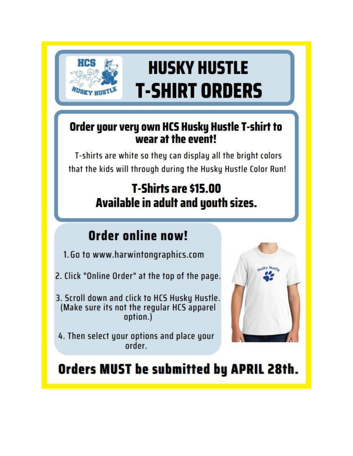

# **HUSKY HUSTLE T-SHIRT ORDERS**

# Order your very own HCS Husky Hustle T-shirt to wear at the event!

T-shirts are white so they can display all the bright colors that the kids will through during the Husky Hustle Color Run!

# T-Shirts are \$15.00 Available in adult and youth sizes.

# **Order online now!**

- 1. Go to www.harwintongraphics.com
- 2. Click "Online Order" at the top of the page.
- 3. Scroll down and click to HCS Husky Hustle. (Make sure its not the regular HCS apparel option.)
- 4. Then select your options and place your order.



# Orders MUST be submitted by APRIL 28th.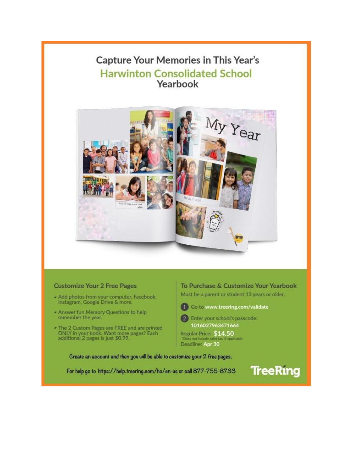## Capture Your Memories in This Year's **Harwinton Consolidated School** Yearbook



#### **Customize Your 2 Free Pages**

- Add photos from your computer, Facebook, Instagram, Google Drive & more.
- Answer fun Memory Questions to help remember the year.
- The 2 Custom Pages are FREE and are printed<br>ONLY in your book. Want more pages? Each<br>additional 2 pages is just \$0.99.

#### To Purchase & Customize Your Yearbook

**TreeRing** 

Must be a parent or student 13 years or older.

- 1 Go to www.treering.com/validate
- 2 Enter your school's passcode: 1016027963471664

Regular Price: \$14.50 Deadline: Apr 30

Create an account and then you will be able to customize your 2 free pages.

For help go to https://help.treering.com/hc/en-us or call 877-755-8733